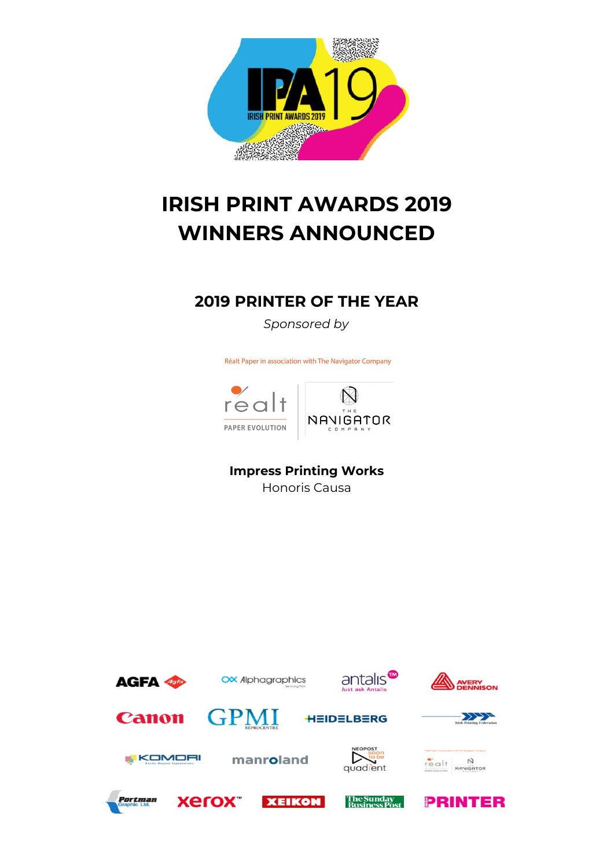

# **IRISH PRINT AWARDS 2019 WINNERS ANNOUNCED**

#### **2019 PRINTER OF THE YEAR**

*Sponsored by*

Réalt Paper in association with The Navigator Company



#### **Impress Printing Works**

Honoris Causa

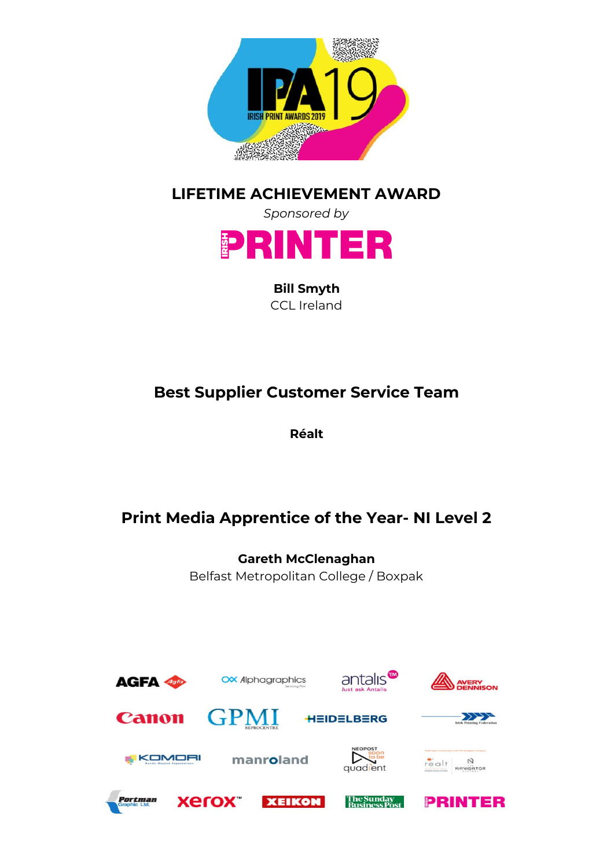

#### **LIFETIME ACHIEVEMENT AWARD**



**Bill Smyth** CCL Ireland

# **Best Supplier Customer Service Team**

**Réalt**

# **Print Media Apprentice of the Year- NI Level 2**

**Gareth McClenaghan** Belfast Metropolitan College / Boxpak

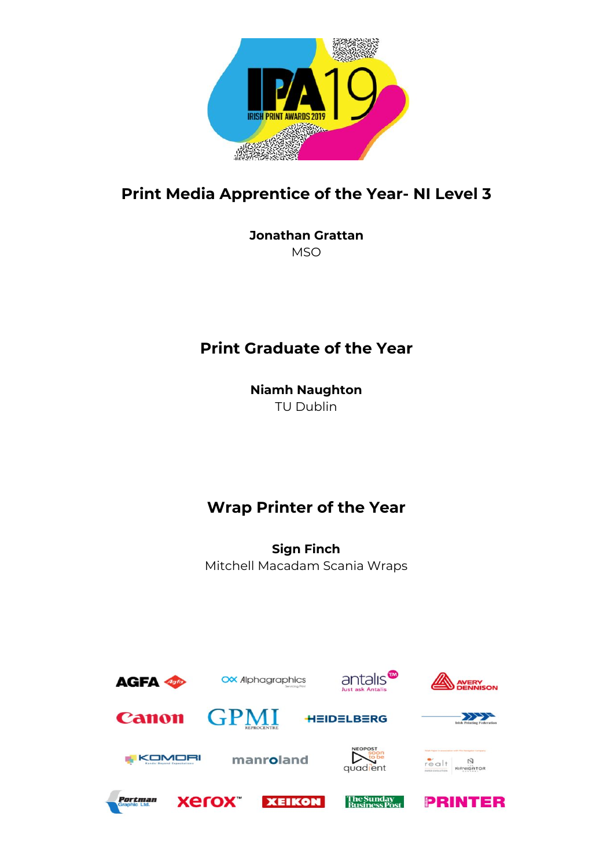

#### **Print Media Apprentice of the Year- NI Level 3**

**Jonathan Grattan MSO** 

### **Print Graduate of the Year**

**Niamh Naughton** TU Dublin

#### **Wrap Printer of the Year**

**Sign Finch** Mitchell Macadam Scania Wraps

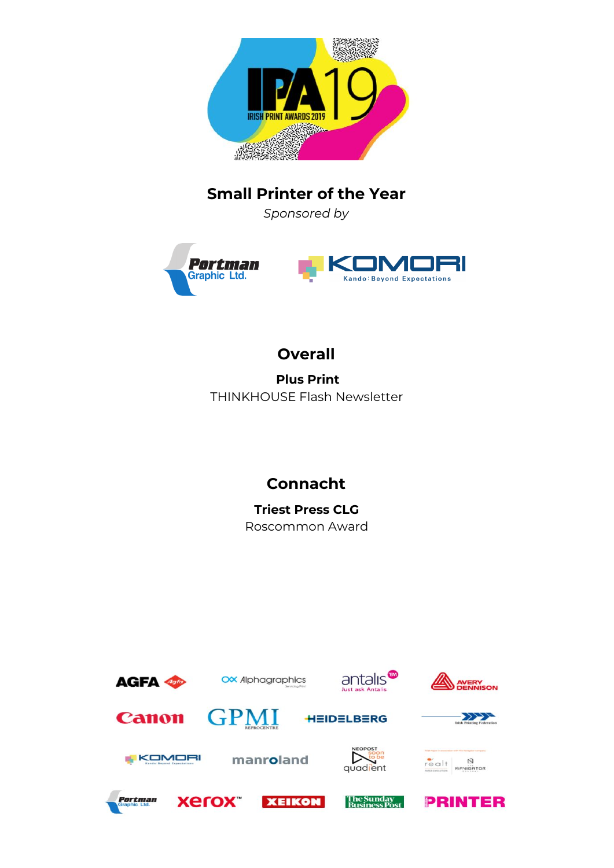

#### **Small Printer of the Year**

*Sponsored by*





#### **Overall**

**Plus Print** THINKHOUSE Flash Newsletter

### **Connacht**

**Triest Press CLG** Roscommon Award

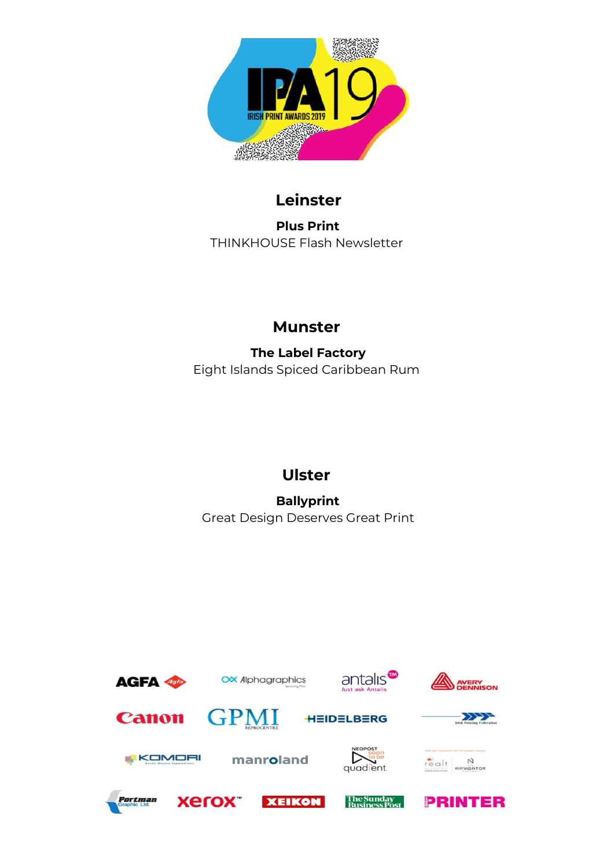

### **Leinster**

**Plus Print** THINKHOUSE Flash Newsletter

# **Munster**

**The Label Factory** Eight Islands Spiced Caribbean Rum

# **Ulster**

**Ballyprint** Great Design Deserves Great Print

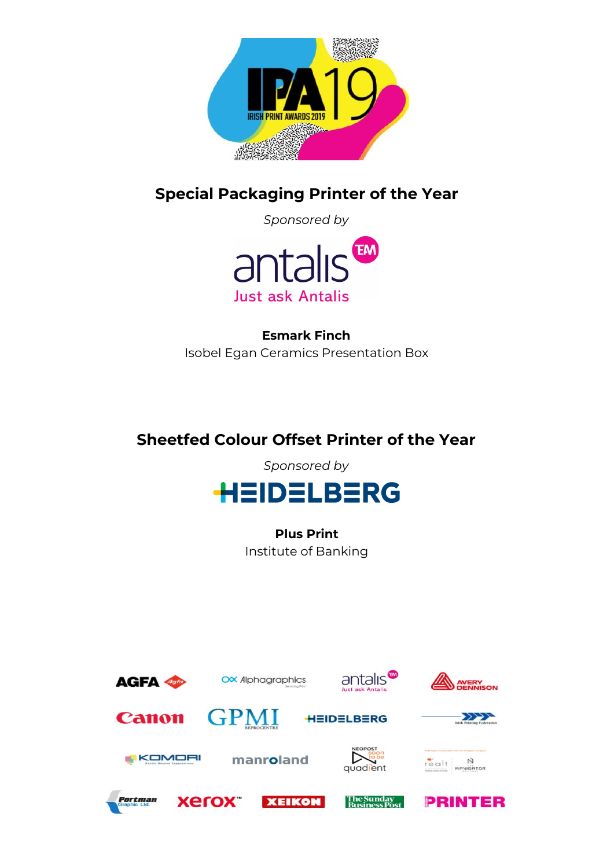

**Special Packaging Printer of the Year**

*Sponsored by*



**Esmark Finch** Isobel Egan Ceramics Presentation Box

# **Sheetfed Colour Offset Printer of the Year**

*Sponsored by*



**Plus Print** Institute of Banking

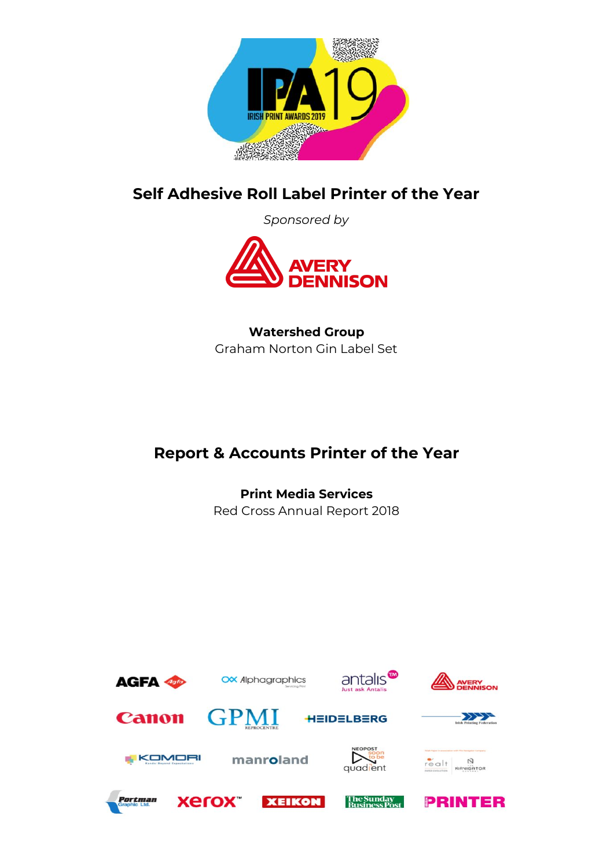

#### **Self Adhesive Roll Label Printer of the Year**

*Sponsored by*



#### **Watershed Group** Graham Norton Gin Label Set

# **Report & Accounts Printer of the Year**

**Print Media Services** Red Cross Annual Report 2018

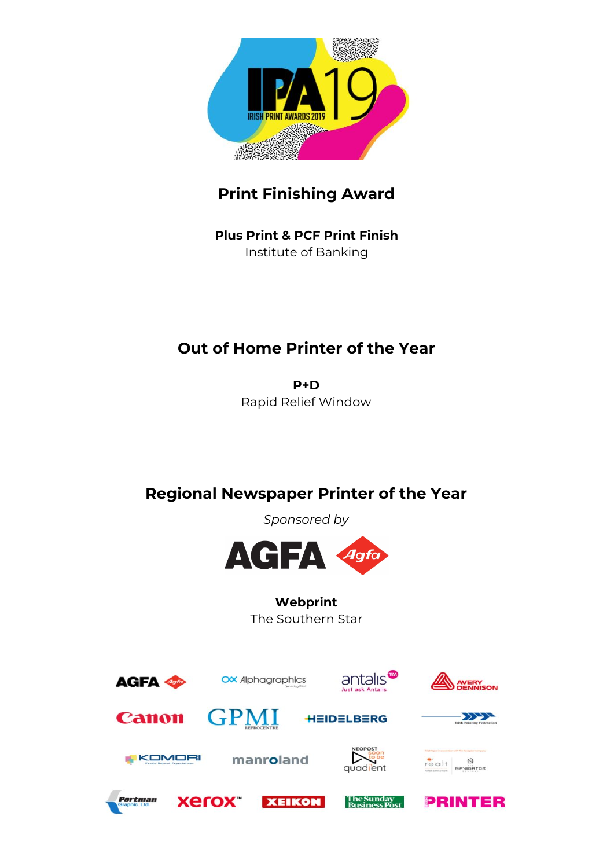

# **Print Finishing Award**

**Plus Print & PCF Print Finish** Institute of Banking

# **Out of Home Printer of the Year**

**P+D** Rapid Relief Window

### **Regional Newspaper Printer of the Year**

*Sponsored by*



**Webprint** The Southern Star

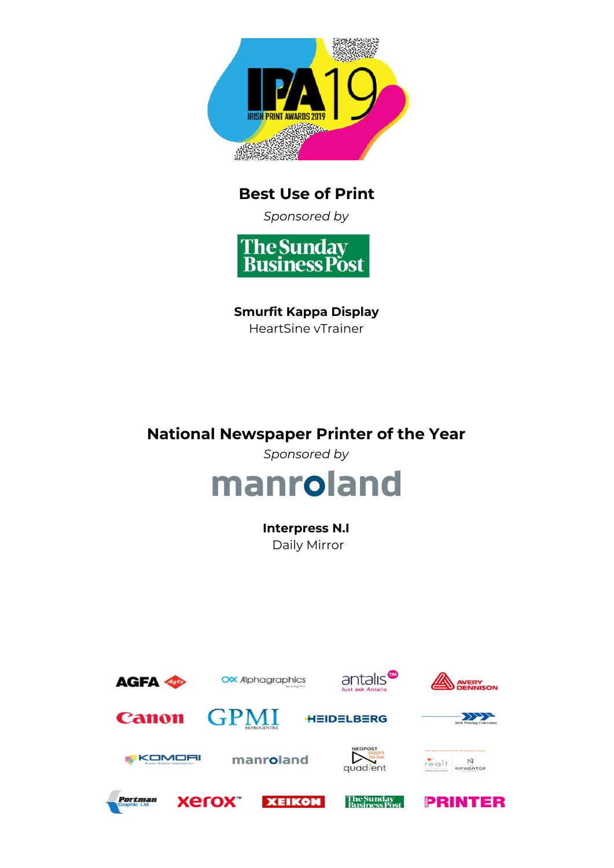

### **Best Use of Print**

*Sponsored by*



**Smurfit Kappa Display** HeartSine vTrainer

### **National Newspaper Printer of the Year**

*Sponsored by*



**Interpress N.I** Daily Mirror

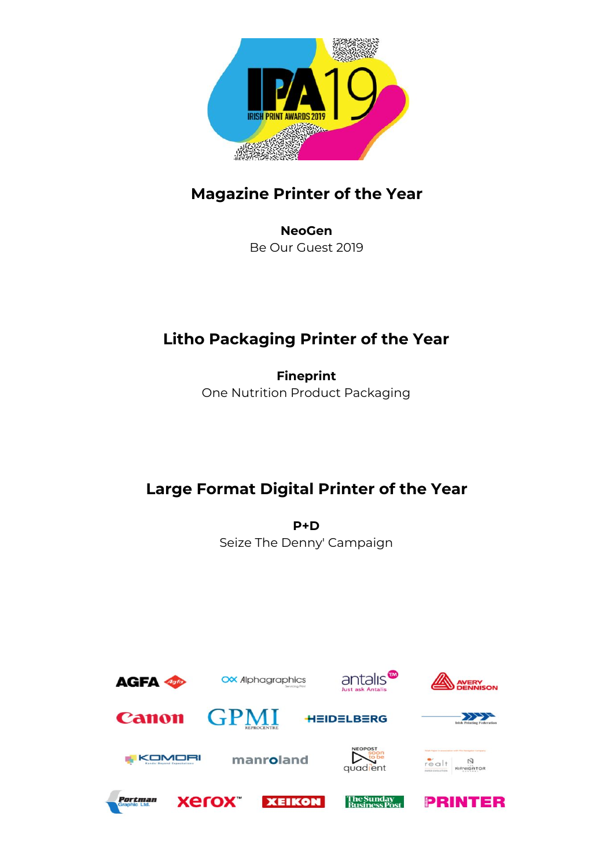

### **Magazine Printer of the Year**

**NeoGen** Be Our Guest 2019

# **Litho Packaging Printer of the Year**

**Fineprint** One Nutrition Product Packaging

# **Large Format Digital Printer of the Year**

**P+D** Seize The Denny' Campaign

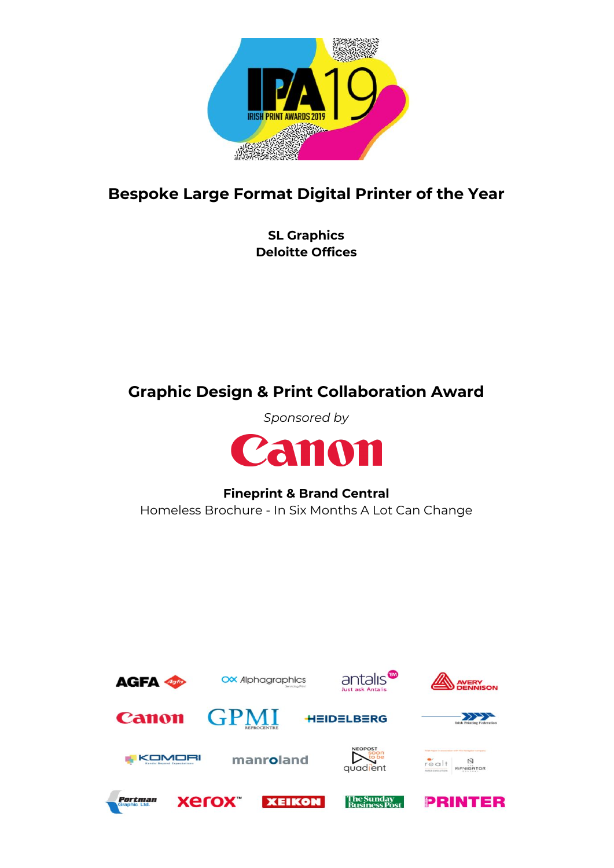

#### **Bespoke Large Format Digital Printer of the Year**

**SL Graphics Deloitte Offices**

### **Graphic Design & Print Collaboration Award**

*Sponsored by*



### **Fineprint & Brand Central**

Homeless Brochure - In Six Months A Lot Can Change

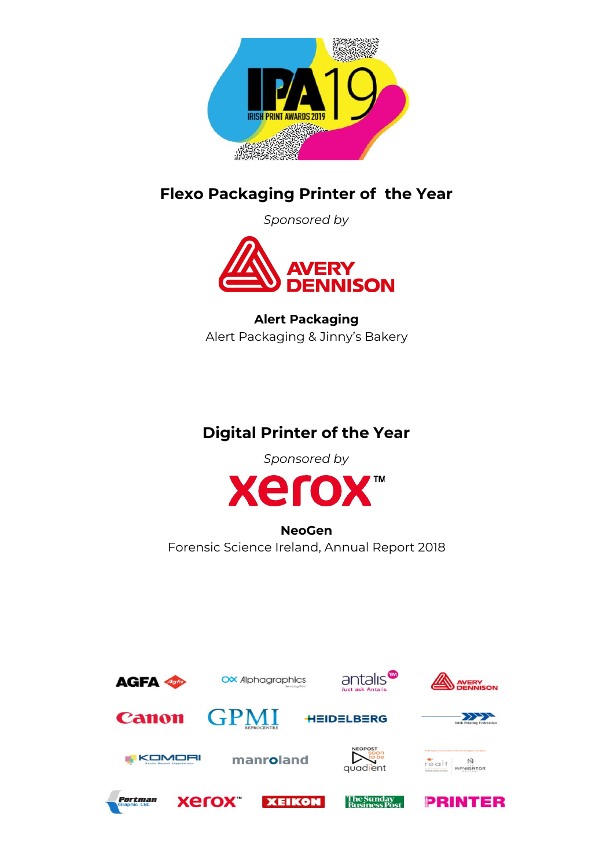

#### **Flexo Packaging Printer of the Year**

*Sponsored by*



**Alert Packaging** Alert Packaging & Jinny's Bakery

### **Digital Printer of the Year**

*Sponsored by*



**NeoGen** Forensic Science Ireland, Annual Report 2018

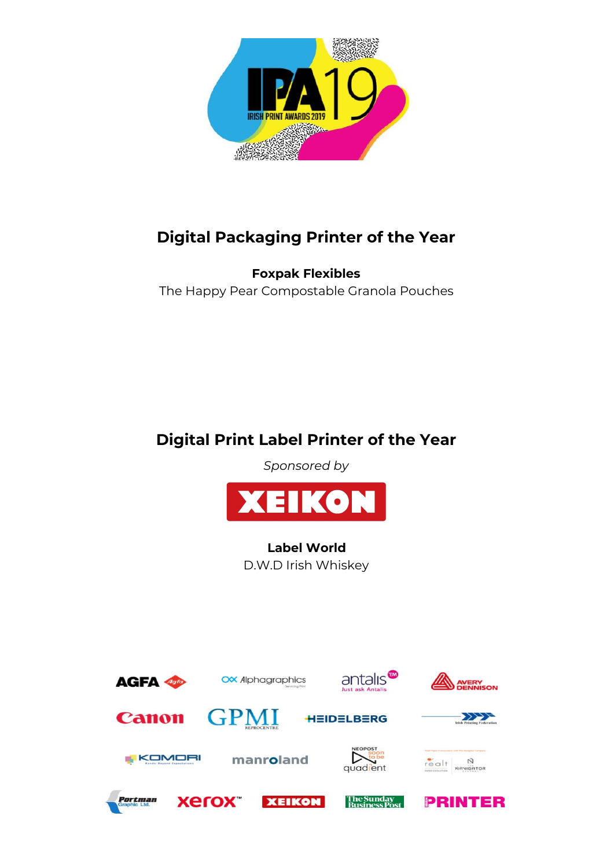

# **Digital Packaging Printer of the Year**

**Foxpak Flexibles** The Happy Pear Compostable Granola Pouches

# **Digital Print Label Printer of the Year**

*Sponsored by*



**Label World** D.W.D Irish Whiskey

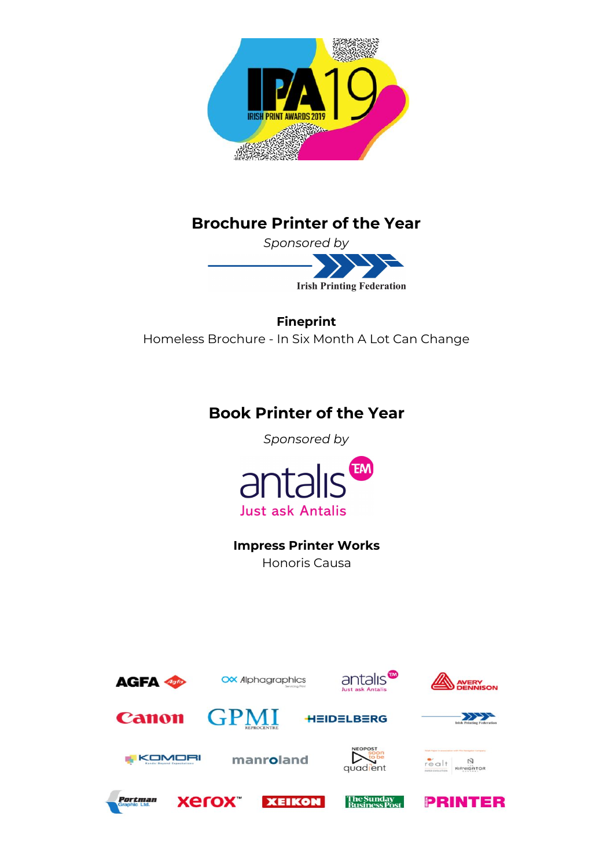

#### **Brochure Printer of the Year**

*Sponsored by*



**Fineprint** Homeless Brochure - In Six Month A Lot Can Change

#### **Book Printer of the Year**

*Sponsored by*



**Impress Printer Works** Honoris Causa